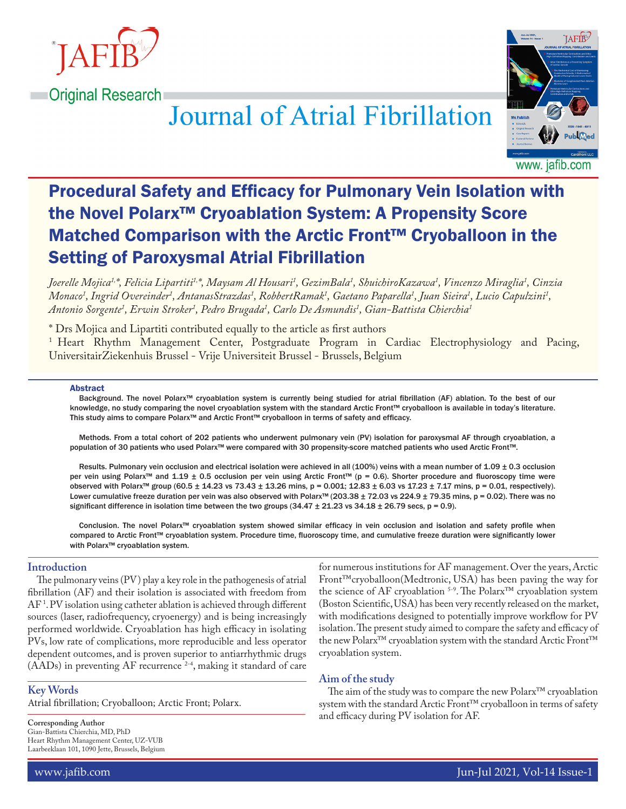

# **Journal of Atrial Fibrillation**



www. jatib.com

# Procedural Safety and Efficacy for Pulmonary Vein Isolation with the Novel Polarx™ Cryoablation System: A Propensity Score Matched Comparison with the Arctic Front™ Cryoballoon in the Setting of Paroxysmal Atrial Fibrillation

Joerelle Mojica<sup>1,</sup>\*, Felicia Lipartiti<sup>1,</sup>\*, Maysam Al Housari<sup>1</sup>, GezimBala<sup>1</sup>, ShuichiroKazawa<sup>1</sup>, Vincenzo Miraglia<sup>1</sup>, Cinzia Monaco<sup>1</sup>, Ingrid Overeinder<sup>1</sup>, AntanasStrazdas<sup>1</sup>, RobbertRamak<sup>1</sup>, Gaetano Paparella<sup>1</sup>, Juan Sieira<sup>1</sup>, Lucio Capulzini<sup>1</sup>, *Antonio Sorgente1 , Erwin Stroker1 , Pedro Brugada1 , Carlo De Asmundis1 , Gian-Battista Chierchia1*

\* Drs Mojica and Lipartiti contributed equally to the article as first authors

<sup>1</sup> Heart Rhythm Management Center, Postgraduate Program in Cardiac Electrophysiology and Pacing, UniversitairZiekenhuis Brussel - Vrije Universiteit Brussel - Brussels, Belgium

#### Abstract

Background. The novel Polarx™ cryoablation system is currently being studied for atrial fibrillation (AF) ablation. To the best of our knowledge, no study comparing the novel cryoablation system with the standard Arctic Front™ cryoballoon is available in today's literature. This study aims to compare Polarx™ and Arctic Front™ cryoballoon in terms of safety and efficacy.

Methods. From a total cohort of 202 patients who underwent pulmonary vein (PV) isolation for paroxysmal AF through cryoablation, a population of 30 patients who used Polarx™ were compared with 30 propensity-score matched patients who used Arctic Front™.

Results. Pulmonary vein occlusion and electrical isolation were achieved in all (100%) veins with a mean number of 1.09 ± 0.3 occlusion per vein using Polarx™ and 1.19 ± 0.5 occlusion per vein using Arctic Front™ (p = 0.6). Shorter procedure and fluoroscopy time were observed with Polarx™ group (60.5 ± 14.23 vs 73.43 ± 13.26 mins, p = 0.001; 12.83 ± 6.03 vs 17.23 ± 7.17 mins, p = 0.01, respectively). Lower cumulative freeze duration per vein was also observed with Polarx™ (203.38 ± 72.03 vs 224.9 ± 79.35 mins, p = 0.02). There was no significant difference in isolation time between the two groups  $(34.47 \pm 21.23 \text{ vs } 34.18 \pm 26.79 \text{ secs}, p = 0.9)$ .

Conclusion. The novel Polarx™ cryoablation system showed similar efficacy in vein occlusion and isolation and safety profile when compared to Arctic Front™ cryoablation system. Procedure time, fluoroscopy time, and cumulative freeze duration were significantly lower with Polarx™ cryoablation system.

## **Introduction**

The pulmonary veins (PV) play a key role in the pathogenesis of atrial fibrillation (AF) and their isolation is associated with freedom from AF 1 . PV isolation using catheter ablation is achieved through different sources (laser, radiofrequency, cryoenergy) and is being increasingly performed worldwide. Cryoablation has high efficacy in isolating PVs, low rate of complications, more reproducible and less operator dependent outcomes, and is proven superior to antiarrhythmic drugs  $(AADs)$  in preventing AF recurrence  $2-4$ , making it standard of care

# **Key Words**

Atrial fibrillation; Cryoballoon; Arctic Front; Polarx.

**Corresponding Author** Gian-Battista Chierchia, MD, PhD Heart Rhythm Management Center, UZ-VUB Laarbeeklaan 101, 1090 Jette, Brussels, Belgium for numerous institutions for AF management. Over the years, Arctic Front™cryoballoon(Medtronic, USA) has been paving the way for the science of AF cryoablation 5-9. The Polarx™ cryoablation system (Boston Scientific, USA) has been very recently released on the market, with modifications designed to potentially improve workflow for PV isolation. The present study aimed to compare the safety and efficacy of the new Polarx™ cryoablation system with the standard Arctic Front™ cryoablation system.

## **Aim of the study**

The aim of the study was to compare the new Polarx™ cryoablation system with the standard Arctic Front™ cryoballoon in terms of safety and efficacy during PV isolation for AF.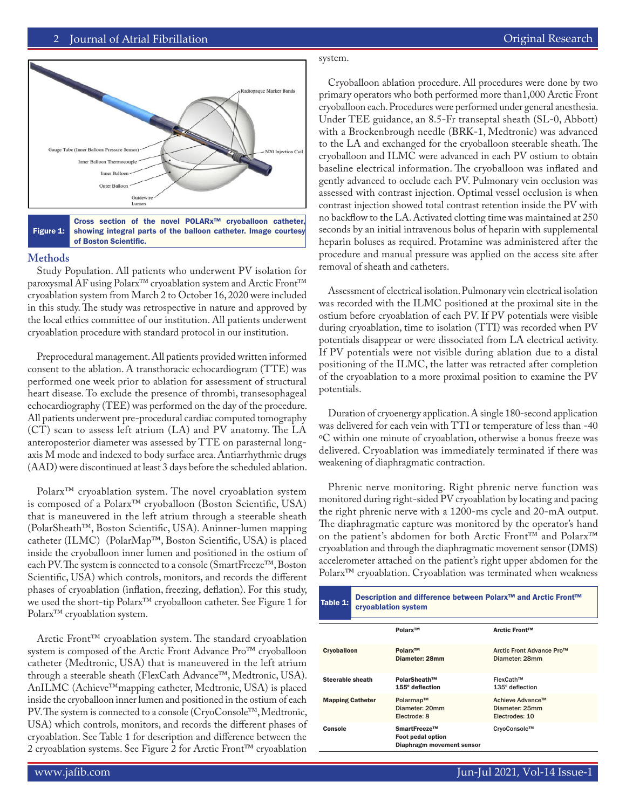

Figure 1: Cross section of the novel POLARx™ cryoballoon catheter, showing integral parts of the balloon catheter. Image courtesy of Boston Scientific.

#### **Methods**

Study Population. All patients who underwent PV isolation for paroxysmal AF using Polarx™ cryoablation system and Arctic Front™ cryoablation system from March 2 to October 16, 2020 were included in this study. The study was retrospective in nature and approved by the local ethics committee of our institution. All patients underwent cryoablation procedure with standard protocol in our institution.

Preprocedural management. All patients provided written informed consent to the ablation. A transthoracic echocardiogram (TTE) was performed one week prior to ablation for assessment of structural heart disease. To exclude the presence of thrombi, transesophageal echocardiography (TEE) was performed on the day of the procedure. All patients underwent pre-procedural cardiac computed tomography (CT) scan to assess left atrium (LA) and PV anatomy. The LA anteroposterior diameter was assessed by TTE on parasternal longaxis M mode and indexed to body surface area. Antiarrhythmic drugs (AAD) were discontinued at least 3 days before the scheduled ablation.

Polarx<sup>™</sup> cryoablation system. The novel cryoablation system is composed of a Polarx™ cryoballoon (Boston Scientific, USA) that is maneuvered in the left atrium through a steerable sheath (PolarSheath™, Boston Scientific, USA). Aninner-lumen mapping catheter (ILMC) (PolarMap™, Boston Scientific, USA) is placed inside the cryoballoon inner lumen and positioned in the ostium of each PV. The system is connected to a console (SmartFreeze™, Boston Scientific, USA) which controls, monitors, and records the different phases of cryoablation (inflation, freezing, deflation). For this study, we used the short-tip Polarx™ cryoballoon catheter. See Figure 1 for Polarx™ cryoablation system.

Arctic Front™ cryoablation system. The standard cryoablation system is composed of the Arctic Front Advance Pro™ cryoballoon catheter (Medtronic, USA) that is maneuvered in the left atrium through a steerable sheath (FlexCath Advance™, Medtronic, USA). AnILMC (Achieve™mapping catheter, Medtronic, USA) is placed inside the cryoballoon inner lumen and positioned in the ostium of each PV. The system is connected to a console (CryoConsole™, Medtronic, USA) which controls, monitors, and records the different phases of cryoablation. See Table 1 for description and difference between the 2 cryoablation systems. See Figure 2 for Arctic Front™ cryoablation

# system.

Cryoballoon ablation procedure. All procedures were done by two primary operators who both performed more than1,000 Arctic Front cryoballoon each. Procedures were performed under general anesthesia. Under TEE guidance, an 8.5-Fr transeptal sheath (SL-0, Abbott) with a Brockenbrough needle (BRK-1, Medtronic) was advanced to the LA and exchanged for the cryoballoon steerable sheath. The cryoballoon and ILMC were advanced in each PV ostium to obtain baseline electrical information. The cryoballoon was inflated and gently advanced to occlude each PV. Pulmonary vein occlusion was assessed with contrast injection. Optimal vessel occlusion is when contrast injection showed total contrast retention inside the PV with no backflow to the LA. Activated clotting time was maintained at 250 seconds by an initial intravenous bolus of heparin with supplemental heparin boluses as required. Protamine was administered after the procedure and manual pressure was applied on the access site after removal of sheath and catheters.

Assessment of electrical isolation. Pulmonary vein electrical isolation was recorded with the ILMC positioned at the proximal site in the ostium before cryoablation of each PV. If PV potentials were visible during cryoablation, time to isolation (TTI) was recorded when PV potentials disappear or were dissociated from LA electrical activity. If PV potentials were not visible during ablation due to a distal positioning of the ILMC, the latter was retracted after completion of the cryoablation to a more proximal position to examine the PV potentials.

Duration of cryoenergy application. A single 180-second application was delivered for each vein with TTI or temperature of less than -40 ºC within one minute of cryoablation, otherwise a bonus freeze was delivered. Cryoablation was immediately terminated if there was weakening of diaphragmatic contraction.

Phrenic nerve monitoring. Right phrenic nerve function was monitored during right-sided PV cryoablation by locating and pacing the right phrenic nerve with a 1200-ms cycle and 20-mA output. The diaphragmatic capture was monitored by the operator's hand on the patient's abdomen for both Arctic Front™ and Polarx™ cryoablation and through the diaphragmatic movement sensor (DMS) accelerometer attached on the patient's right upper abdomen for the Polarx™ cryoablation. Cryoablation was terminated when weakness

| Table 1:                | Description and difference between Polarx <sup>™</sup> and Arctic Front™<br>cryoablation system |                                                                |                                                      |  |  |
|-------------------------|-------------------------------------------------------------------------------------------------|----------------------------------------------------------------|------------------------------------------------------|--|--|
|                         |                                                                                                 | Polarx™                                                        | <b>Arctic Front™</b>                                 |  |  |
| Cryoballoon             |                                                                                                 | Polarx™<br>Diameter: 28mm                                      | Arctic Front Advance Pro™<br>Diameter: 28mm          |  |  |
| Steerable sheath        |                                                                                                 | PolarSheath™<br>155° deflection                                | FlexCath™<br>$135^\circ$ deflection                  |  |  |
| <b>Mapping Catheter</b> |                                                                                                 | Polarmap™<br>Diameter: 20mm<br>Electrode: 8                    | Achieve Advance™<br>Diameter: 25mm<br>Electrodes: 10 |  |  |
| Console                 |                                                                                                 | SmartFreeze™<br>Foot pedal option<br>Diaphragm movement sensor | CryoConsole™                                         |  |  |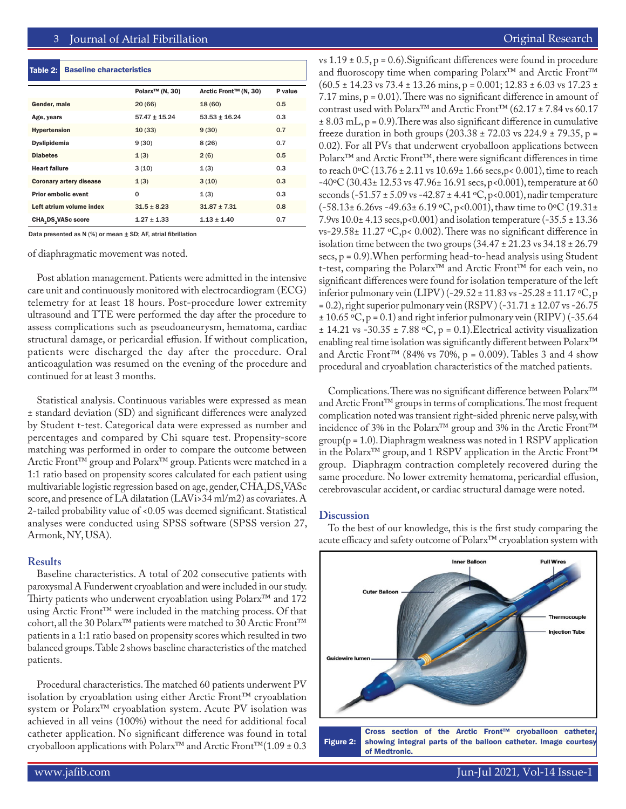#### Table 2: Baseline characteristics

|                            |                                | Polarx <sup>™</sup> (N, 30) | Arctic Front™ (N, 30) | P value |
|----------------------------|--------------------------------|-----------------------------|-----------------------|---------|
| Gender, male               |                                | 20(66)                      | 18(60)                | 0.5     |
| Age, years                 |                                | $57.47 \pm 15.24$           | $53.53 + 16.24$       | 0.3     |
| <b>Hypertension</b>        |                                | 10(33)                      | 9(30)                 | 0.7     |
| <b>Dyslipidemia</b>        |                                | 9(30)                       | 8(26)                 | 0.7     |
| <b>Diabetes</b>            |                                | 1(3)                        | 2(6)                  | 0.5     |
| <b>Heart failure</b>       |                                | 3(10)                       | 1(3)                  | 0.3     |
|                            | <b>Coronary artery disease</b> | 1(3)                        | 3(10)                 | 0.3     |
| <b>Prior embolic event</b> |                                | 0                           | 1(3)                  | 0.3     |
|                            | Left atrium volume index       | $31.5 \pm 8.23$             | $31.87 \pm 7.31$      | 0.8     |
| <b>CHA, DS, VASc score</b> |                                | $1.27 \pm 1.33$             | $1.13 + 1.40$         | 0.7     |

Data presented as N (%) or mean ± SD; AF, atrial fibrillation

of diaphragmatic movement was noted.

Post ablation management. Patients were admitted in the intensive care unit and continuously monitored with electrocardiogram (ECG) telemetry for at least 18 hours. Post-procedure lower extremity ultrasound and TTE were performed the day after the procedure to assess complications such as pseudoaneurysm, hematoma, cardiac structural damage, or pericardial effusion. If without complication, patients were discharged the day after the procedure. Oral anticoagulation was resumed on the evening of the procedure and continued for at least 3 months.

Statistical analysis. Continuous variables were expressed as mean ± standard deviation (SD) and significant differences were analyzed by Student t-test. Categorical data were expressed as number and percentages and compared by Chi square test. Propensity-score matching was performed in order to compare the outcome between Arctic Front™ group and Polarx™ group. Patients were matched in a 1:1 ratio based on propensity scores calculated for each patient using multivariable logistic regression based on age, gender,  $\rm CHA_2DS_2VASC$ score, and presence of LA dilatation (LAVi>34 ml/m2) as covariates. A 2-tailed probability value of <0.05 was deemed significant. Statistical analyses were conducted using SPSS software (SPSS version 27, Armonk, NY, USA).

# **Results**

Baseline characteristics. A total of 202 consecutive patients with paroxysmal A Funderwent cryoablation and were included in our study. Thirty patients who underwent cryoablation using Polarx™ and 172 using Arctic Front™ were included in the matching process. Of that cohort, all the 30 Polarx™ patients were matched to 30 Arctic Front™ patients in a 1:1 ratio based on propensity scores which resulted in two balanced groups. Table 2 shows baseline characteristics of the matched patients.

Procedural characteristics. The matched 60 patients underwent PV isolation by cryoablation using either Arctic Front™ cryoablation system or Polarx™ cryoablation system. Acute PV isolation was achieved in all veins (100%) without the need for additional focal catheter application. No significant difference was found in total cryoballoon applications with Polarx™ and Arctic Front™(1.09 ± 0.3

vs  $1.19 \pm 0.5$ , p = 0.6). Significant differences were found in procedure and fluoroscopy time when comparing Polarx<sup>™</sup> and Arctic Front<sup>™</sup>  $(60.5 \pm 14.23 \text{ vs } 73.4 \pm 13.26 \text{ mins}, p = 0.001; 12.83 \pm 6.03 \text{ vs } 17.23 \pm 14.23 \text{ vs } 17.23 \pm 14.23 \text{ vs } 17.23 \pm 14.23 \text{ vs } 17.23 \pm 14.23 \text{ vs } 17.23 \pm 14.23 \text{ vs } 17.23 \pm 14.23 \text{ vs } 17.23 \pm 14.23 \text{ vs } 17.23 \pm 14.23 \text{ vs } 17.2$ 7.17 mins, p = 0.01). There was no significant difference in amount of contrast used with Polarx™ and Arctic Front™ (62.17 ± 7.84 vs 60.17  $\pm$  8.03 mL, p = 0.9). There was also significant difference in cumulative freeze duration in both groups  $(203.38 \pm 72.03 \text{ vs } 224.9 \pm 79.35, \text{ p} =$ 0.02). For all PVs that underwent cryoballoon applications between Polarx™ and Arctic Front™, there were significant differences in time to reach 0ºC (13.76 ± 2.11 vs 10.69± 1.66 secs,p< 0.001), time to reach  $-40\degree$ C (30.43 $\pm$  12.53 vs 47.96 $\pm$  16.91 secs, p<0.001), temperature at 60 seconds (-51.57 ± 5.09 vs -42.87 ± 4.41 ºC, p<0.001), nadir temperature (-58.13± 6.26vs -49.63± 6.19 ºC, p<0.001), thaw time to 0ºC (19.31± 7.9vs 10.0± 4.13 secs,p<0.001) and isolation temperature (-35.5 ± 13.36 vs-29.58± 11.27 ºC,p< 0.002). There was no significant difference in isolation time between the two groups  $(34.47 \pm 21.23 \text{ vs } 34.18 \pm 26.79$ secs, p = 0.9).When performing head-to-head analysis using Student t-test, comparing the Polarx™ and Arctic Front™ for each vein, no significant differences were found for isolation temperature of the left inferior pulmonary vein (LIPV) (-29.52  $\pm$  11.83 vs -25.28  $\pm$  11.17 °C, p  $= 0.2$ ), right superior pulmonary vein (RSPV) (-31.71  $\pm$  12.07 vs -26.75  $\pm$  10.65 °C, p = 0.1) and right inferior pulmonary vein (RIPV) (-35.64  $\pm$  14.21 vs -30.35  $\pm$  7.88 °C, p = 0.1). Electrical activity visualization enabling real time isolation was significantly different between Polarx™ and Arctic Front<sup>™</sup> (84% vs 70%,  $p = 0.009$ ). Tables 3 and 4 show procedural and cryoablation characteristics of the matched patients.

Complications. There was no significant difference between Polarx™ and Arctic Front™ groups in terms of complications. The most frequent complication noted was transient right-sided phrenic nerve palsy, with incidence of 3% in the Polarx™ group and 3% in the Arctic Front™  $group(p = 1.0)$ . Diaphragm weakness was noted in 1 RSPV application in the Polarx™ group, and 1 RSPV application in the Arctic Front™ group. Diaphragm contraction completely recovered during the same procedure. No lower extremity hematoma, pericardial effusion, cerebrovascular accident, or cardiac structural damage were noted.

#### **Discussion**

To the best of our knowledge, this is the first study comparing the acute efficacy and safety outcome of Polarx™ cryoablation system with

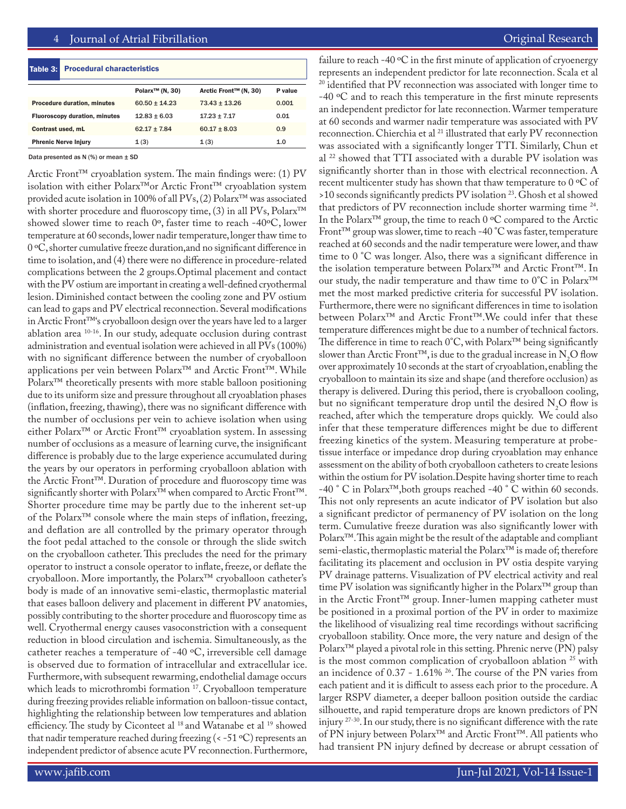| Table 3:                             | <b>Procedural characteristics</b> |                             |                       |         |  |  |
|--------------------------------------|-----------------------------------|-----------------------------|-----------------------|---------|--|--|
|                                      |                                   | Polarx <sup>™</sup> (N, 30) | Arctic Front™ (N, 30) | P value |  |  |
| <b>Procedure duration, minutes</b>   |                                   | $60.50 + 14.23$             | $73.43 + 13.26$       | 0.001   |  |  |
| <b>Fluoroscopy duration, minutes</b> |                                   | $12.83 + 6.03$              | $17.23 \pm 7.17$      | 0.01    |  |  |
| Contrast used, mL                    |                                   | $62.17 + 7.84$              | $60.17 + 8.03$        | 0.9     |  |  |
| <b>Phrenic Nerve Injury</b>          |                                   | 1(3)                        | 1(3)                  | 1.0     |  |  |

Data presented as  $N$  (%) or mean  $\pm$  SD

Arctic Front™ cryoablation system. The main findings were: (1) PV isolation with either Polarx™or Arctic Front™ cryoablation system provided acute isolation in 100% of all PVs, (2) Polarx™ was associated with shorter procedure and fluoroscopy time, (3) in all PVs, Polarx™ showed slower time to reach 0º, faster time to reach -40ºC, lower temperature at 60 seconds, lower nadir temperature, longer thaw time to 0 ºC, shorter cumulative freeze duration,and no significant difference in time to isolation, and (4) there were no difference in procedure-related complications between the 2 groups.Optimal placement and contact with the PV ostium are important in creating a well-defined cryothermal lesion. Diminished contact between the cooling zone and PV ostium can lead to gaps and PV electrical reconnection. Several modifications in Arctic Front™'s cryoballoon design over the years have led to a larger ablation area 10-16. In our study, adequate occlusion during contrast administration and eventual isolation were achieved in all PVs (100%) with no significant difference between the number of cryoballoon applications per vein between Polarx™ and Arctic Front™. While Polarx<sup>™</sup> theoretically presents with more stable balloon positioning due to its uniform size and pressure throughout all cryoablation phases (inflation, freezing, thawing), there was no significant difference with the number of occlusions per vein to achieve isolation when using either Polarx™ or Arctic Front™ cryoablation system. In assessing number of occlusions as a measure of learning curve, the insignificant difference is probably due to the large experience accumulated during the years by our operators in performing cryoballoon ablation with the Arctic Front™. Duration of procedure and fluoroscopy time was significantly shorter with Polarx™ when compared to Arctic Front™. Shorter procedure time may be partly due to the inherent set-up of the Polarx™ console where the main steps of inflation, freezing, and deflation are all controlled by the primary operator through the foot pedal attached to the console or through the slide switch on the cryoballoon catheter. This precludes the need for the primary operator to instruct a console operator to inflate, freeze, or deflate the cryoballoon. More importantly, the Polarx™ cryoballoon catheter's body is made of an innovative semi-elastic, thermoplastic material that eases balloon delivery and placement in different PV anatomies, possibly contributing to the shorter procedure and fluoroscopy time as well. Cryothermal energy causes vasoconstriction with a consequent reduction in blood circulation and ischemia. Simultaneously, as the catheter reaches a temperature of -40 ºC, irreversible cell damage is observed due to formation of intracellular and extracellular ice. Furthermore, with subsequent rewarming, endothelial damage occurs which leads to microthrombi formation <sup>17</sup>. Cryoballoon temperature during freezing provides reliable information on balloon-tissue contact, highlighting the relationship between low temperatures and ablation efficiency. The study by Ciconteet al <sup>18</sup> and Watanabe et al <sup>19</sup> showed that nadir temperature reached during freezing  $(< -51 \degree C)$  represents an independent predictor of absence acute PV reconnection. Furthermore,

failure to reach -40 ºC in the first minute of application of cryoenergy represents an independent predictor for late reconnection. Scala et al <sup>20</sup> identified that PV reconnection was associated with longer time to

-40 ºC and to reach this temperature in the first minute represents an independent predictor for late reconnection. Warmer temperature at 60 seconds and warmer nadir temperature was associated with PV reconnection. Chierchia et al <sup>21</sup> illustrated that early PV reconnection was associated with a significantly longer TTI. Similarly, Chun et al 22 showed that TTI associated with a durable PV isolation was significantly shorter than in those with electrical reconnection. A recent multicenter study has shown that thaw temperature to  $0 °C$  of >10 seconds significantly predicts PV isolation 23. Ghosh et al showed that predictors of PV reconnection include shorter warming time <sup>24</sup>. In the Polarx™ group, the time to reach 0 ºC compared to the Arctic Front™ group was slower, time to reach -40 °C was faster, temperature reached at 60 seconds and the nadir temperature were lower, and thaw time to 0 °C was longer. Also, there was a significant difference in the isolation temperature between Polarx™ and Arctic Front™. In our study, the nadir temperature and thaw time to 0°C in Polarx™ met the most marked predictive criteria for successful PV isolation. Furthermore, there were no significant differences in time to isolation between Polarx™ and Arctic Front™.We could infer that these temperature differences might be due to a number of technical factors. The difference in time to reach 0°C, with Polarx™ being significantly slower than Arctic Front<sup>1M</sup>, is due to the gradual increase in N<sub>2</sub>O flow over approximately 10 seconds at the start of cryoablation, enabling the cryoballoon to maintain its size and shape (and therefore occlusion) as therapy is delivered. During this period, there is cryoballoon cooling, but no significant temperature drop until the desired  $N_2O$  flow is reached, after which the temperature drops quickly. We could also infer that these temperature differences might be due to different freezing kinetics of the system. Measuring temperature at probetissue interface or impedance drop during cryoablation may enhance assessment on the ability of both cryoballoon catheters to create lesions within the ostium for PV isolation.Despite having shorter time to reach -40 ° C in Polarx™,both groups reached -40 ° C within 60 seconds. This not only represents an acute indicator of PV isolation but also a significant predictor of permanency of PV isolation on the long term. Cumulative freeze duration was also significantly lower with Polarx™. This again might be the result of the adaptable and compliant semi-elastic, thermoplastic material the Polarx™ is made of; therefore facilitating its placement and occlusion in PV ostia despite varying PV drainage patterns. Visualization of PV electrical activity and real time PV isolation was significantly higher in the Polarx™ group than in the Arctic Front™ group. Inner-lumen mapping catheter must be positioned in a proximal portion of the PV in order to maximize the likelihood of visualizing real time recordings without sacrificing cryoballoon stability. Once more, the very nature and design of the Polarx<sup>™</sup> played a pivotal role in this setting. Phrenic nerve (PN) palsy is the most common complication of cryoballoon ablation <sup>25</sup> with an incidence of 0.37 - 1.61% 26. The course of the PN varies from each patient and it is difficult to assess each prior to the procedure. A larger RSPV diameter, a deeper balloon position outside the cardiac silhouette, and rapid temperature drops are known predictors of PN injury <sup>27-30</sup>. In our study, there is no significant difference with the rate of PN injury between Polarx™ and Arctic Front™. All patients who had transient PN injury defined by decrease or abrupt cessation of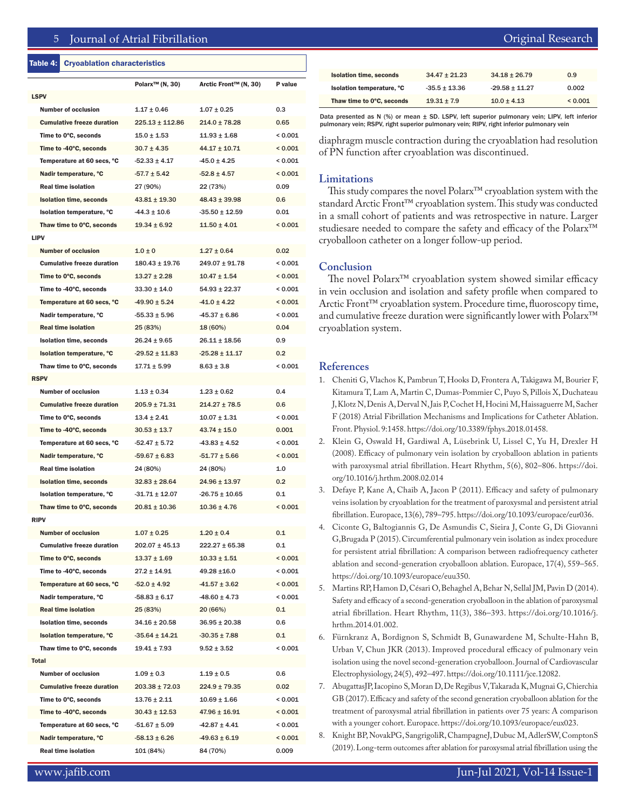# 5 Journal of Atrial Fibrillation

#### Table 4: Cryoablation characteristics

| <b>LSPV</b>                       | Polarx <sup>™</sup> (N, 30) | Arctic Front™ (N, 30) | P value          |
|-----------------------------------|-----------------------------|-----------------------|------------------|
| <b>Number of occlusion</b>        | $1.17 \pm 0.46$             | $1.07 \pm 0.25$       | 0.3              |
|                                   |                             |                       |                  |
| <b>Cumulative freeze duration</b> | $225.13 \pm 112.86$         | $214.0 \pm 78.28$     | 0.65             |
| Time to 0°C, seconds              | $15.0 \pm 1.53$             | $11.93 \pm 1.68$      | < 0.001          |
| Time to -40°C, seconds            | $30.7 \pm 4.35$             | $44.17 \pm 10.71$     | < 0.001          |
| Temperature at 60 secs, °C        | $-52.33 \pm 4.17$           | $-45.0 \pm 4.25$      | < 0.001          |
| Nadir temperature, °C             | $-57.7 + 5.42$              | $-52.8 \pm 4.57$      | ${}_{0.001}$     |
| <b>Real time isolation</b>        | 27 (90%)                    | 22 (73%)              | 0.09             |
| <b>Isolation time, seconds</b>    | $43.81 \pm 19.30$           | $48.43 \pm 39.98$     | 0.6              |
| Isolation temperature, °C         | $-44.3 \pm 10.6$            | $-35.50 \pm 12.59$    | 0.01             |
| Thaw time to 0°C, seconds         | $19.34 \pm 6.92$            | $11.50 \pm 4.01$      | < 0.001          |
| <b>LIPV</b>                       |                             |                       |                  |
| <b>Number of occlusion</b>        | $1.0 \pm 0$                 | $1.27 \pm 0.64$       | 0.02             |
| <b>Cumulative freeze duration</b> | $180.43 \pm 19.76$          | $249.07 \pm 91.78$    | < 0.001          |
| Time to 0°C, seconds              | $13.27 + 2.28$              | $10.47 \pm 1.54$      | < 0.001          |
| Time to -40°C, seconds            | $33.30 \pm 14.0$            | $54.93 \pm 22.37$     | ${}_{0.001}$     |
| Temperature at 60 secs, °C        | $-49.90 \pm 5.24$           | $-41.0 \pm 4.22$      | < 0.001          |
| Nadir temperature, °C             | $-55.33 + 5.96$             | $-45.37 \pm 6.86$     | < 0.001          |
| <b>Real time isolation</b>        | 25 (83%)                    | 18 (60%)              | 0.04             |
| <b>Isolation time, seconds</b>    | $26.24 \pm 9.65$            | $26.11 \pm 18.56$     | 0.9              |
| Isolation temperature, °C         | $-29.52 \pm 11.83$          | $-25.28 \pm 11.17$    | 0.2 <sub>0</sub> |
| Thaw time to 0°C, seconds         | $17.71 \pm 5.99$            | $8.63 \pm 3.8$        | < 0.001          |
| <b>RSPV</b>                       |                             |                       |                  |
| <b>Number of occlusion</b>        |                             |                       |                  |
|                                   | $1.13 \pm 0.34$             | $1.23 \pm 0.62$       | 0.4              |
| <b>Cumulative freeze duration</b> | $205.9 \pm 71.31$           | $214.27 \pm 78.5$     | 0.6              |
| Time to 0°C, seconds              | $13.4 \pm 2.41$             | $10.07 \pm 1.31$      | < 0.001          |
| Time to -40°C, seconds            | $30.53 \pm 13.7$            | $43.74 \pm 15.0$      | 0.001            |
| Temperature at 60 secs, °C        | $-52.47 \pm 5.72$           | $-43.83 \pm 4.52$     | ${}_{0.001}$     |
| Nadir temperature, °C             | $-59.67 \pm 6.83$           | $-51.77 \pm 5.66$     | < 0.001          |
| <b>Real time isolation</b>        | 24 (80%)                    | 24 (80%)              | 1.0              |
| <b>Isolation time, seconds</b>    | $32.83 \pm 28.64$           | $24.96 \pm 13.97$     | $0.2\,$          |
| Isolation temperature, °C         | $-31.71 \pm 12.07$          | $-26.75 \pm 10.65$    | 0.1              |
| Thaw time to 0°C, seconds         | $20.81 \pm 10.36$           | $10.36 \pm 4.76$      | < 0.001          |
| <b>RIPV</b>                       |                             |                       |                  |
| <b>Number of occlusion</b>        | $1.07 \pm 0.25$             | $1.20 \pm 0.4$        | 0.1              |
| <b>Cumulative freeze duration</b> | $202.07 \pm 45.13$          | $222.27 \pm 65.38$    | 0.1              |
| Time to 0°C, seconds              | $13.37 \pm 1.69$            | $10.33 \pm 1.51$      | < 0.001          |
| Time to -40°C, seconds            | $27.2 \pm 14.91$            | 49.28 ±16.0           | < 0.001          |
| Temperature at 60 secs, °C        | $-52.0 \pm 4.92$            | $-41.57 \pm 3.62$     | < 0.001          |
| Nadir temperature, °C             | $-58.83 \pm 6.17$           | $-48.60 \pm 4.73$     | < 0.001          |
| <b>Real time isolation</b>        | 25 (83%)                    | 20 (66%)              | 0.1              |
| <b>Isolation time, seconds</b>    | $34.16 \pm 20.58$           | $36.95 \pm 20.38$     | 0.6              |
| Isolation temperature, °C         | $-35.64 \pm 14.21$          | $-30.35 \pm 7.88$     | 0.1              |
| Thaw time to 0°C, seconds         | $19.41 \pm 7.93$            | $9.52 \pm 3.52$       | < 0.001          |
| <b>Total</b>                      |                             |                       |                  |
| <b>Number of occlusion</b>        | $1.09 \pm 0.3$              | $1.19 \pm 0.5$        | 0.6              |
| <b>Cumulative freeze duration</b> | $203.38 \pm 72.03$          | $224.9 \pm 79.35$     | 0.02             |
| Time to 0°C, seconds              | $13.76 \pm 2.11$            | $10.69 \pm 1.66$      | < 0.001          |
| Time to -40°C, seconds            |                             |                       |                  |
|                                   | $30.43 \pm 12.53$           | $47.96 \pm 16.91$     | < 0.001          |
| Temperature at 60 secs, °C        | $-51.67 \pm 5.09$           | $-42.87 \pm 4.41$     | < 0.001          |
| Nadir temperature, °C             | $-58.13 \pm 6.26$           | $-49.63 \pm 6.19$     | < 0.001          |
| <b>Real time isolation</b>        | 101 (84%)                   | 84 (70%)              | 0.009            |

|  | Original Research |  |  |  |
|--|-------------------|--|--|--|
|  |                   |  |  |  |
|  |                   |  |  |  |

| Thaw time to 0°C, seconds      | $19.31 + 7.9$   | $10.0 + 4.13$    | 0.001 |
|--------------------------------|-----------------|------------------|-------|
| Isolation temperature, °C      | $-35.5 + 13.36$ | $-29.58 + 11.27$ | 0.002 |
| <b>Isolation time, seconds</b> | $34.47 + 21.23$ | $34.18 + 26.79$  | 0.9   |
|                                |                 |                  |       |

Data presented as N (%) or mean ± SD. LSPV, left superior pulmonary vein; LIPV, left inferior pulmonary vein; RSPV, right superior pulmonary vein; RIPV, right inferior pulmonary vein

diaphragm muscle contraction during the cryoablation had resolution of PN function after cryoablation was discontinued.

### **Limitations**

This study compares the novel Polarx™ cryoablation system with the standard Arctic Front™ cryoablation system. This study was conducted in a small cohort of patients and was retrospective in nature. Larger studiesare needed to compare the safety and efficacy of the Polarx™ cryoballoon catheter on a longer follow-up period.

#### **Conclusion**

The novel Polarx™ cryoablation system showed similar efficacy in vein occlusion and isolation and safety profile when compared to Arctic Front™ cryoablation system. Procedure time, fluoroscopy time, and cumulative freeze duration were significantly lower with Polarx™ cryoablation system.

#### **References**

- 1. Cheniti G, Vlachos K, Pambrun T, Hooks D, Frontera A, Takigawa M, Bourier F, Kitamura T, Lam A, Martin C, Dumas-Pommier C, Puyo S, Pillois X, Duchateau J, Klotz N, Denis A, Derval N, Jais P, Cochet H, Hocini M, Haissaguerre M, Sacher F (2018) Atrial Fibrillation Mechanisms and Implications for Catheter Ablation. Front. Physiol. 9:1458. https://doi.org/10.3389/fphys.2018.01458.
- 2. Klein G, Oswald H, Gardiwal A, Lüsebrink U, Lissel C, Yu H, Drexler H (2008). Efficacy of pulmonary vein isolation by cryoballoon ablation in patients with paroxysmal atrial fibrillation. Heart Rhythm, 5(6), 802–806. https://doi. org/10.1016/j.hrthm.2008.02.014
- 3. Defaye P, Kane A, Chaib A, Jacon P (2011). Efficacy and safety of pulmonary veins isolation by cryoablation for the treatment of paroxysmal and persistent atrial fibrillation. Europace, 13(6), 789–795. https://doi.org/10.1093/europace/eur036.
- 4. Ciconte G, Baltogiannis G, De Asmundis C, Sieira J, Conte G, Di Giovanni G,Brugada P (2015). Circumferential pulmonary vein isolation as index procedure for persistent atrial fibrillation: A comparison between radiofrequency catheter ablation and second-generation cryoballoon ablation. Europace, 17(4), 559–565. https://doi.org/10.1093/europace/euu350.
- 5. Martins RP, Hamon D, Césari O, Behaghel A, Behar N, Sellal JM, Pavin D (2014). Safety and efficacy of a second-generation cryoballoon in the ablation of paroxysmal atrial fibrillation. Heart Rhythm, 11(3), 386–393. https://doi.org/10.1016/j. hrthm.2014.01.002.
- 6. Fürnkranz A, Bordignon S, Schmidt B, Gunawardene M, Schulte-Hahn B, Urban V, Chun JKR (2013). Improved procedural efficacy of pulmonary vein isolation using the novel second-generation cryoballoon. Journal of Cardiovascular Electrophysiology, 24(5), 492–497. https://doi.org/10.1111/jce.12082.
- 7. AbugattasJP, Iacopino S, Moran D, De Regibus V, Takarada K, Mugnai G, Chierchia GB (2017). Efficacy and safety of the second generation cryoballoon ablation for the treatment of paroxysmal atrial fibrillation in patients over 75 years: A comparison with a younger cohort. Europace. https://doi.org/10.1093/europace/eux023.
- 8. Knight BP, NovakPG, SangrigoliR, ChampagneJ, Dubuc M, AdlerSW, ComptonS (2019). Long-term outcomes after ablation for paroxysmal atrial fibrillation using the